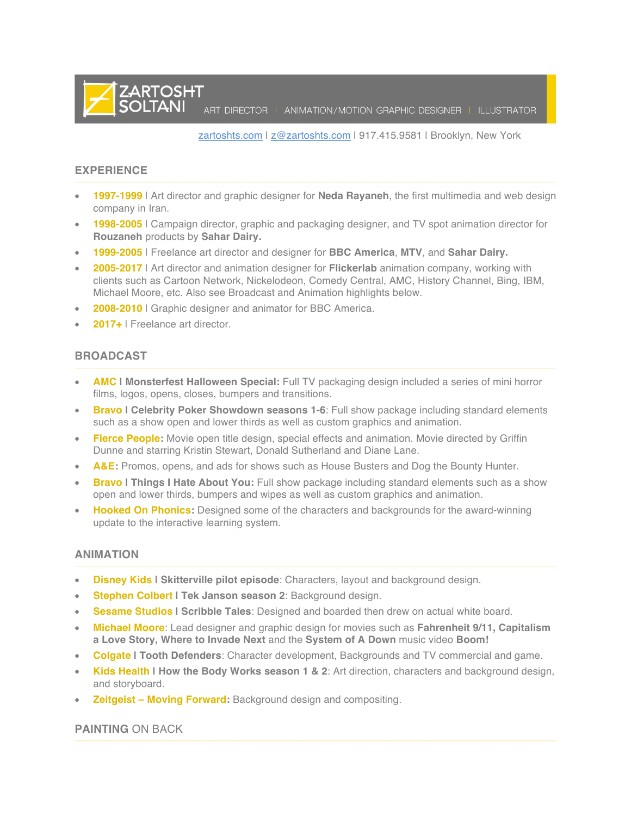ART DIRECTOR | ANIMATION/MOTION GRAPHIC DESIGNER | ILLUSTRATOR

zartoshts.com | z@zartoshts.com | 917.415.9581 | Brooklyn, New York

# **EXPERIENCE**

- **1997-1999** | Art director and graphic designer for **Neda Rayaneh**, the first multimedia and web design company in Iran.
- **1998-2005** | Campaign director, graphic and packaging designer, and TV spot animation director for **Rouzaneh** products by **Sahar Dairy.**
- **1999-2005** | Freelance art director and designer for **BBC America**, **MTV**, and **Sahar Dairy.**
- **2005-2017** | Art director and animation designer for **Flickerlab** animation company, working with clients such as Cartoon Network, Nickelodeon, Comedy Central, AMC, History Channel, Bing, IBM, Michael Moore, etc. Also see Broadcast and Animation highlights below.
- **2008-2010** | Graphic designer and animator for BBC America.
- **2017+** | Freelance art director.

**ZARTOSHT<br>SOLTANI** 

## **BROADCAST**

- **AMC | Monsterfest Halloween Special:** Full TV packaging design included a series of mini horror films, logos, opens, closes, bumpers and transitions.
- **Bravo | Celebrity Poker Showdown seasons 1-6**: Full show package including standard elements such as a show open and lower thirds as well as custom graphics and animation.
- **Fierce People:** Movie open title design, special effects and animation. Movie directed by Griffin Dunne and starring Kristin Stewart, Donald Sutherland and Diane Lane.
- **A&E:** Promos, opens, and ads for shows such as House Busters and Dog the Bounty Hunter.
- **Bravo | Things I Hate About You:** Full show package including standard elements such as a show open and lower thirds, bumpers and wipes as well as custom graphics and animation.
- **Hooked On Phonics:** Designed some of the characters and backgrounds for the award-winning update to the interactive learning system.

#### **ANIMATION**

- **Disney Kids | Skitterville pilot episode**: Characters, layout and background design.
- **Stephen Colbert | Tek Janson season 2**: Background design.
- **Sesame Studios | Scribble Tales**: Designed and boarded then drew on actual white board.
- **Michael Moore**: Lead designer and graphic design for movies such as **Fahrenheit 9/11, Capitalism a Love Story, Where to Invade Next** and the **System of A Down** music video **Boom!**
- **Colgate | Tooth Defenders**: Character development, Backgrounds and TV commercial and game.
- **Kids Health | How the Body Works season 1 & 2**: Art direction, characters and background design, and storyboard.
- **Zeitgeist – Moving Forward:** Background design and compositing.

#### **PAINTING** ON BACK